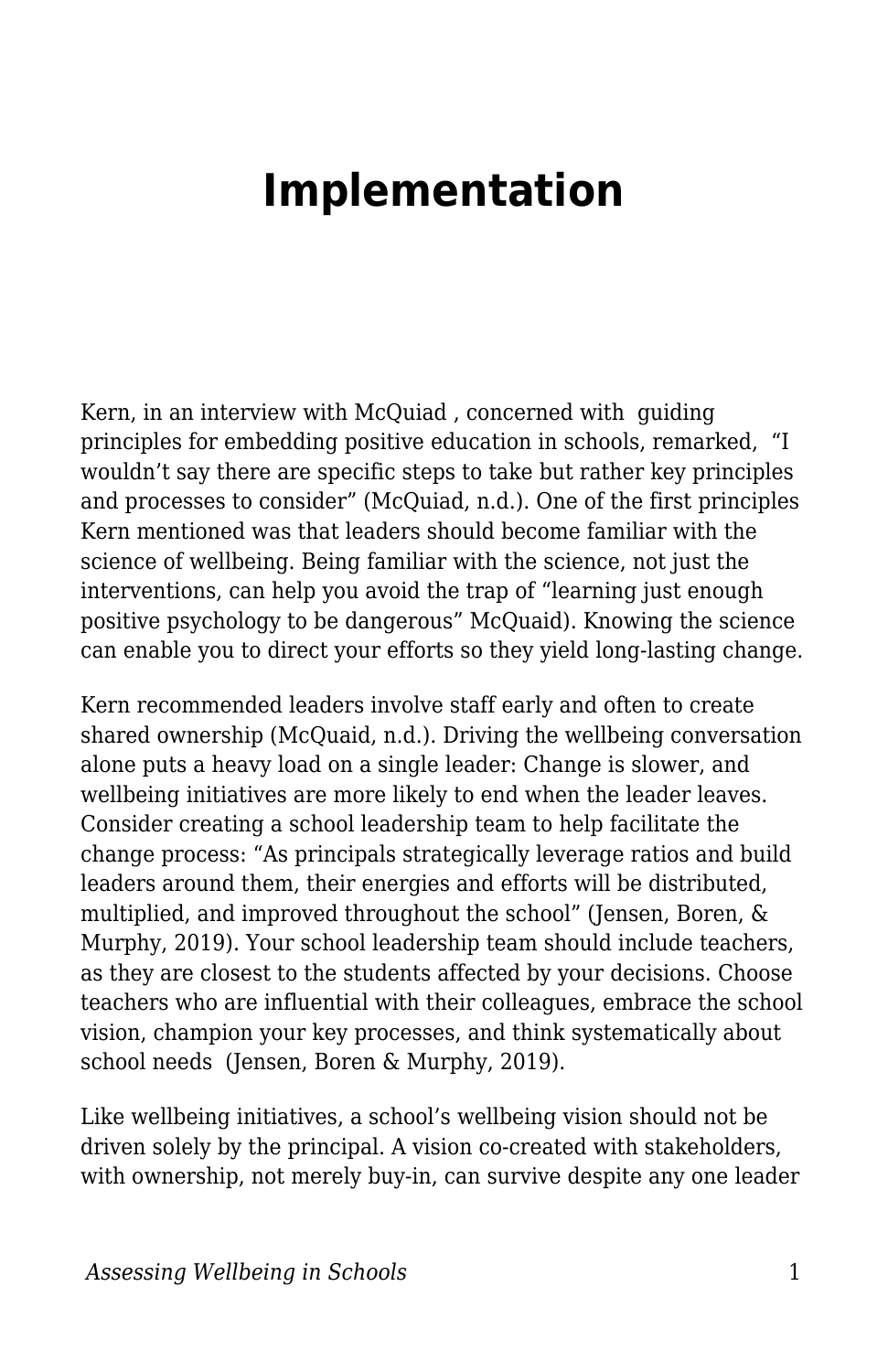## **Implementation**

Kern, in an interview with McQuiad , concerned with guiding principles for embedding positive education in schools, remarked, "I wouldn't say there are specific steps to take but rather key principles and processes to consider" (McQuiad, n.d.). One of the first principles Kern mentioned was that leaders should become familiar with the science of wellbeing. Being familiar with the science, not just the interventions, can help you avoid the trap of "learning just enough positive psychology to be dangerous" McQuaid). Knowing the science can enable you to direct your efforts so they yield long-lasting change.

Kern recommended leaders involve staff early and often to create shared ownership (McQuaid, n.d.). Driving the wellbeing conversation alone puts a heavy load on a single leader: Change is slower, and wellbeing initiatives are more likely to end when the leader leaves. Consider creating a school leadership team to help facilitate the change process: "As principals strategically leverage ratios and build leaders around them, their energies and efforts will be distributed, multiplied, and improved throughout the school" (Jensen, Boren, & Murphy, 2019). Your school leadership team should include teachers, as they are closest to the students affected by your decisions. Choose teachers who are influential with their colleagues, embrace the school vision, champion your key processes, and think systematically about school needs (Jensen, Boren & Murphy, 2019).

Like wellbeing initiatives, a school's wellbeing vision should not be driven solely by the principal. A vision co-created with stakeholders, with ownership, not merely buy-in, can survive despite any one leader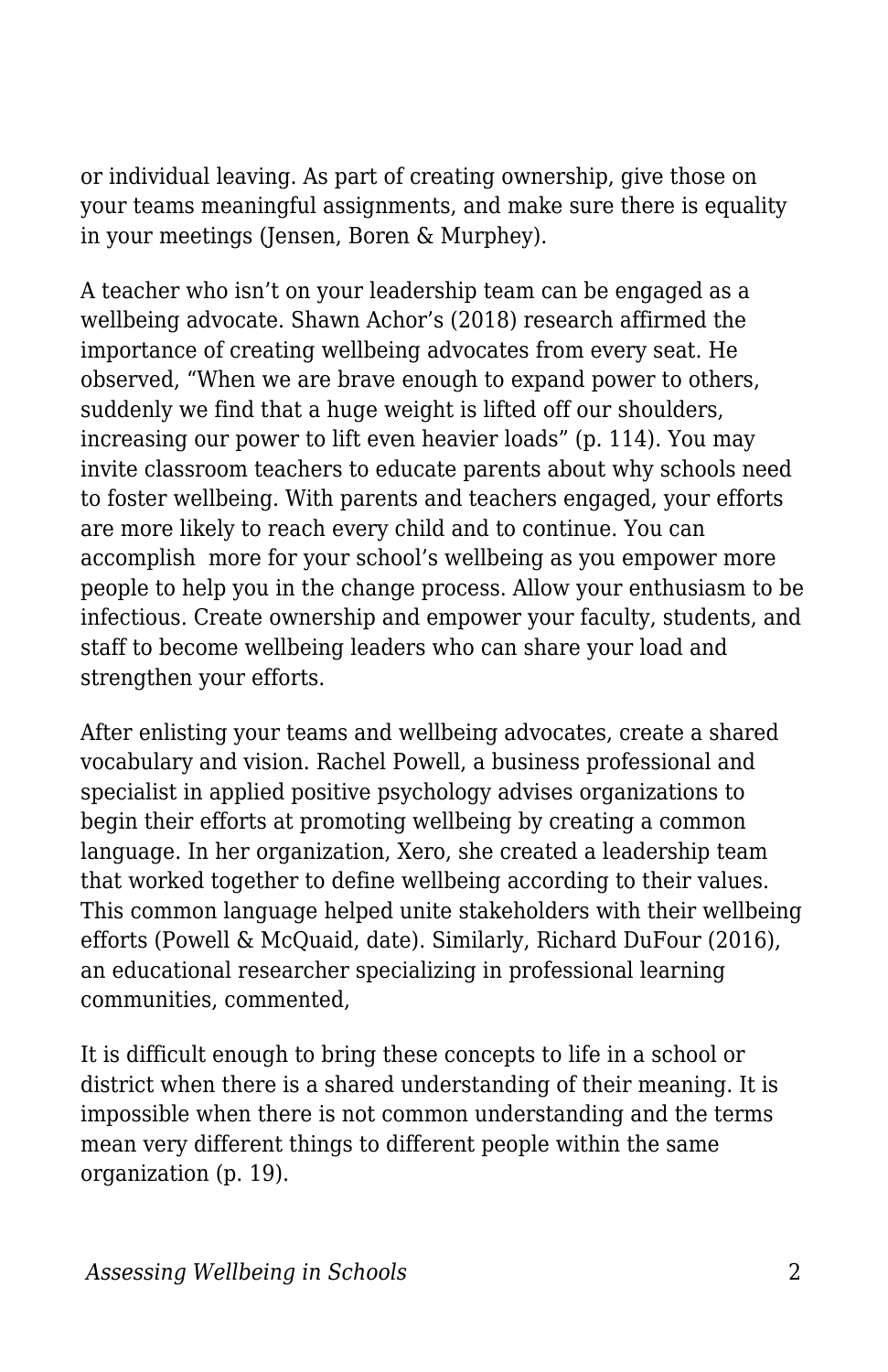or individual leaving. As part of creating ownership, give those on your teams meaningful assignments, and make sure there is equality in your meetings (Jensen, Boren & Murphey).

A teacher who isn't on your leadership team can be engaged as a wellbeing advocate. Shawn Achor's (2018) research affirmed the importance of creating wellbeing advocates from every seat. He observed, "When we are brave enough to expand power to others, suddenly we find that a huge weight is lifted off our shoulders, increasing our power to lift even heavier loads" (p. 114). You may invite classroom teachers to educate parents about why schools need to foster wellbeing. With parents and teachers engaged, your efforts are more likely to reach every child and to continue. You can accomplish more for your school's wellbeing as you empower more people to help you in the change process. Allow your enthusiasm to be infectious. Create ownership and empower your faculty, students, and staff to become wellbeing leaders who can share your load and strengthen your efforts.

After enlisting your teams and wellbeing advocates, create a shared vocabulary and vision. Rachel Powell, a business professional and specialist in applied positive psychology advises organizations to begin their efforts at promoting wellbeing by creating a common language. In her organization, Xero, she created a leadership team that worked together to define wellbeing according to their values. This common language helped unite stakeholders with their wellbeing efforts (Powell & McQuaid, date). Similarly, Richard DuFour (2016), an educational researcher specializing in professional learning communities, commented,

It is difficult enough to bring these concepts to life in a school or district when there is a shared understanding of their meaning. It is impossible when there is not common understanding and the terms mean very different things to different people within the same organization (p. 19).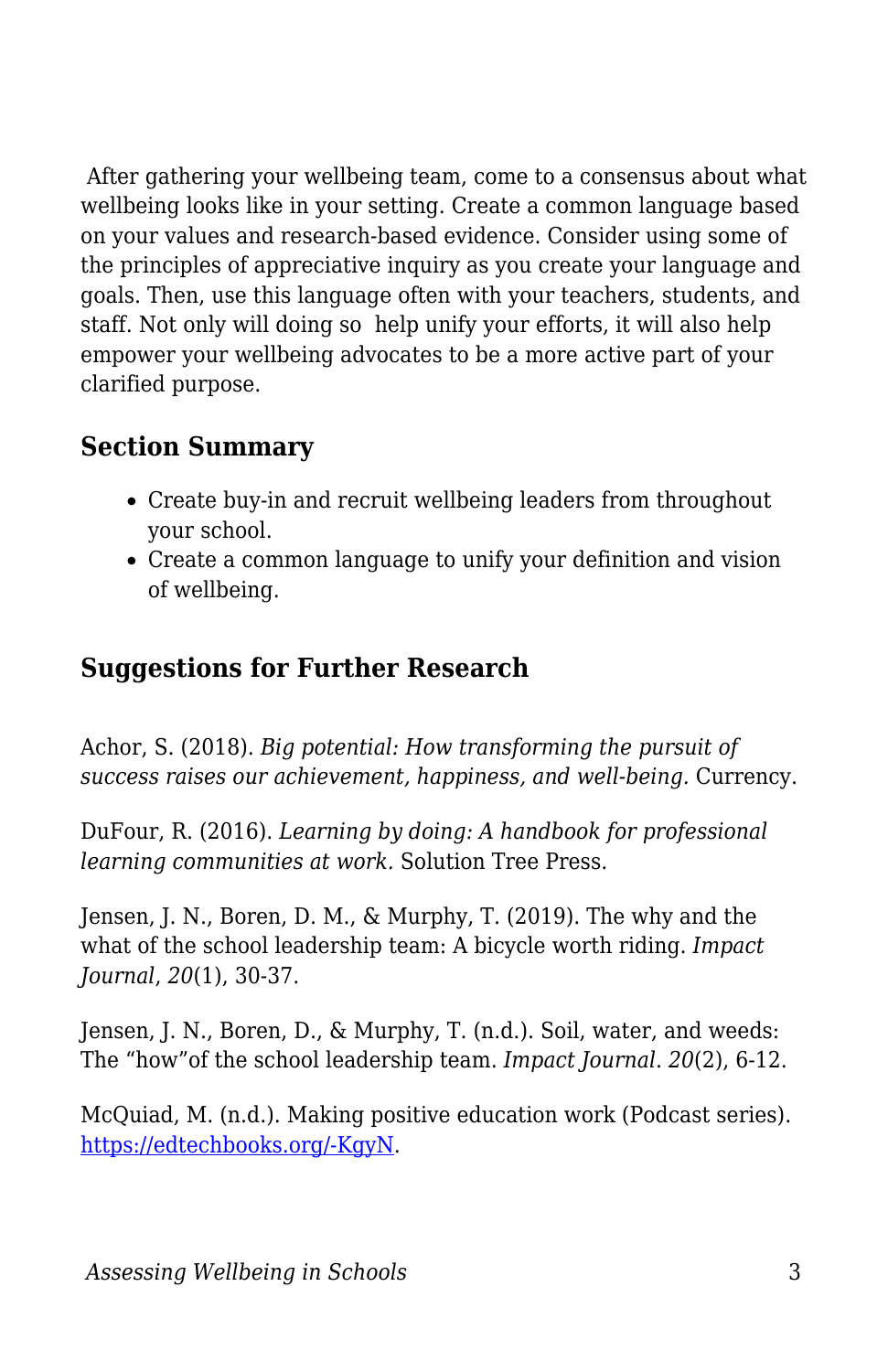After gathering your wellbeing team, come to a consensus about what wellbeing looks like in your setting. Create a common language based on your values and research-based evidence. Consider using some of the principles of appreciative inquiry as you create your language and goals. Then, use this language often with your teachers, students, and staff. Not only will doing so help unify your efforts, it will also help empower your wellbeing advocates to be a more active part of your clarified purpose.

## **Section Summary**

- Create buy-in and recruit wellbeing leaders from throughout your school.
- Create a common language to unify your definition and vision of wellbeing.

## **Suggestions for Further Research**

Achor, S. (2018). *Big potential: How transforming the pursuit of success raises our achievement, happiness, and well-being.* Currency.

DuFour, R. (2016). *Learning by doing: A handbook for professional learning communities at work.* Solution Tree Press.

Jensen, J. N., Boren, D. M., & Murphy, T. (2019). The why and the what of the school leadership team: A bicycle worth riding. *Impact Journal*, *20*(1), 30-37.

Jensen, J. N., Boren, D., & Murphy, T. (n.d.). Soil, water, and weeds: The "how"of the school leadership team. *Impact Journal*. *20*(2), 6-12.

McQuiad, M. (n.d.). Making positive education work (Podcast series). [https://edtechbooks.org/-KgyN.](https://www.michellemcquaid.com/premium-product/podcast-positive-education/)